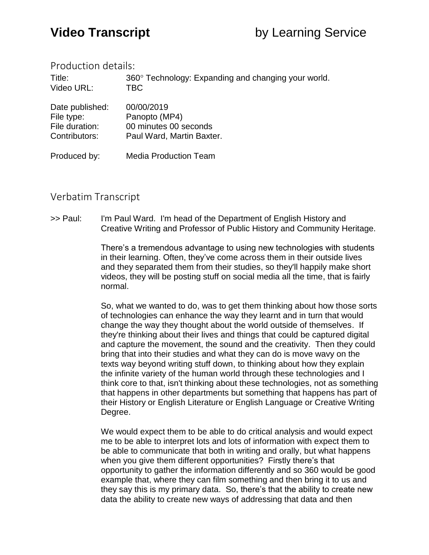## Production details:

Title: 360° Technology: Expanding and changing your world. Video URL: TBC

| Date published: | 00/00/2019                |
|-----------------|---------------------------|
| File type:      | Panopto (MP4)             |
| File duration:  | 00 minutes 00 seconds     |
| Contributors:   | Paul Ward, Martin Baxter. |
|                 |                           |

Produced by: Media Production Team

## Verbatim Transcript

>> Paul: I'm Paul Ward. I'm head of the Department of English History and Creative Writing and Professor of Public History and Community Heritage.

> There's a tremendous advantage to using new technologies with students in their learning. Often, they've come across them in their outside lives and they separated them from their studies, so they'll happily make short videos, they will be posting stuff on social media all the time, that is fairly normal.

So, what we wanted to do, was to get them thinking about how those sorts of technologies can enhance the way they learnt and in turn that would change the way they thought about the world outside of themselves. If they're thinking about their lives and things that could be captured digital and capture the movement, the sound and the creativity. Then they could bring that into their studies and what they can do is move wavy on the texts way beyond writing stuff down, to thinking about how they explain the infinite variety of the human world through these technologies and I think core to that, isn't thinking about these technologies, not as something that happens in other departments but something that happens has part of their History or English Literature or English Language or Creative Writing Degree.

We would expect them to be able to do critical analysis and would expect me to be able to interpret lots and lots of information with expect them to be able to communicate that both in writing and orally, but what happens when you give them different opportunities? Firstly there's that opportunity to gather the information differently and so 360 would be good example that, where they can film something and then bring it to us and they say this is my primary data. So, there's that the ability to create new data the ability to create new ways of addressing that data and then